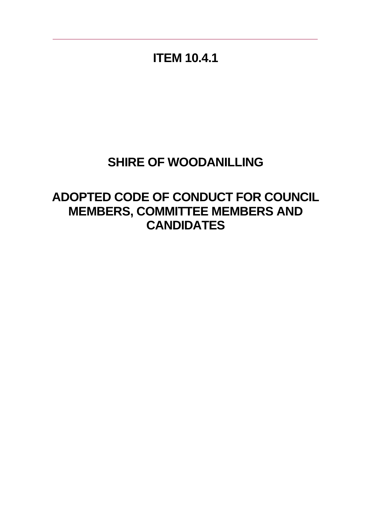**ITEM 10.4.1**

# **SHIRE OF WOODANILLING**

**ADOPTED CODE OF CONDUCT FOR COUNCIL MEMBERS, COMMITTEE MEMBERS AND CANDIDATES**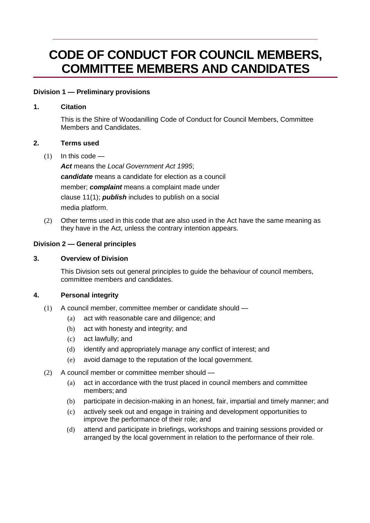# **CODE OF CONDUCT FOR COUNCIL MEMBERS, COMMITTEE MEMBERS AND CANDIDATES**

## **Division 1 — Preliminary provisions**

## **1. Citation**

This is the Shire of Woodanilling Code of Conduct for Council Members, Committee Members and Candidates.

## **2. Terms used**

 $(1)$  In this code —

*Act* means the *Local Government Act 1995*;

*candidate* means a candidate for election as a council member; *complaint* means a complaint made under clause 11(1); *publish* includes to publish on a social media platform.

(2) Other terms used in this code that are also used in the Act have the same meaning as they have in the Act, unless the contrary intention appears.

## **Division 2 — General principles**

#### **3. Overview of Division**

This Division sets out general principles to guide the behaviour of council members, committee members and candidates.

#### **4. Personal integrity**

- (1) A council member, committee member or candidate should
	- (a) act with reasonable care and diligence; and
	- (b) act with honesty and integrity; and
	- (c) act lawfully; and
	- (d) identify and appropriately manage any conflict of interest; and
	- (e) avoid damage to the reputation of the local government.
- (2) A council member or committee member should
	- (a) act in accordance with the trust placed in council members and committee members; and
	- (b) participate in decision-making in an honest, fair, impartial and timely manner; and
	- (c) actively seek out and engage in training and development opportunities to improve the performance of their role; and
	- (d) attend and participate in briefings, workshops and training sessions provided or arranged by the local government in relation to the performance of their role.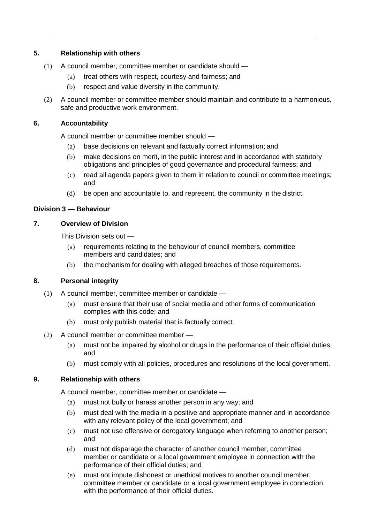## **5. Relationship with others**

- (1) A council member, committee member or candidate should
	- (a) treat others with respect, courtesy and fairness; and
	- (b) respect and value diversity in the community.
- (2) A council member or committee member should maintain and contribute to a harmonious, safe and productive work environment.

#### **6. Accountability**

A council member or committee member should —

- (a) base decisions on relevant and factually correct information; and
- (b) make decisions on merit, in the public interest and in accordance with statutory obligations and principles of good governance and procedural fairness; and
- (c) read all agenda papers given to them in relation to council or committee meetings; and
- (d) be open and accountable to, and represent, the community in the district.

## **Division 3 — Behaviour**

## **7. Overview of Division**

This Division sets out —

- (a) requirements relating to the behaviour of council members, committee members and candidates; and
- (b) the mechanism for dealing with alleged breaches of those requirements.

# **8. Personal integrity**

- (1) A council member, committee member or candidate
	- (a) must ensure that their use of social media and other forms of communication complies with this code; and
	- (b) must only publish material that is factually correct.
- (2) A council member or committee member
	- (a) must not be impaired by alcohol or drugs in the performance of their official duties; and
	- (b) must comply with all policies, procedures and resolutions of the local government.

#### **9. Relationship with others**

A council member, committee member or candidate —

- (a) must not bully or harass another person in any way; and
- (b) must deal with the media in a positive and appropriate manner and in accordance with any relevant policy of the local government; and
- (c) must not use offensive or derogatory language when referring to another person; and
- (d) must not disparage the character of another council member, committee member or candidate or a local government employee in connection with the performance of their official duties; and
- (e) must not impute dishonest or unethical motives to another council member, committee member or candidate or a local government employee in connection with the performance of their official duties.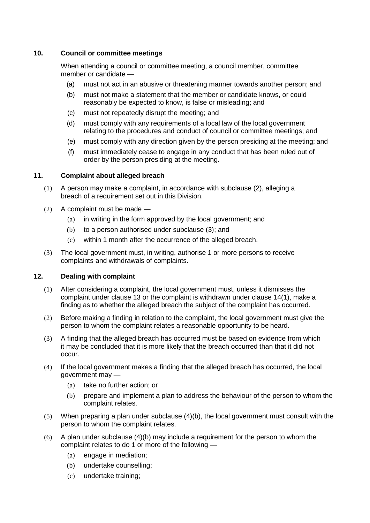## **10. Council or committee meetings**

When attending a council or committee meeting, a council member, committee member or candidate —

- (a) must not act in an abusive or threatening manner towards another person; and
- (b) must not make a statement that the member or candidate knows, or could reasonably be expected to know, is false or misleading; and
- (c) must not repeatedly disrupt the meeting; and
- (d) must comply with any requirements of a local law of the local government relating to the procedures and conduct of council or committee meetings; and
- (e) must comply with any direction given by the person presiding at the meeting; and
- (f) must immediately cease to engage in any conduct that has been ruled out of order by the person presiding at the meeting.

## **11. Complaint about alleged breach**

- (1) A person may make a complaint, in accordance with subclause (2), alleging a breach of a requirement set out in this Division.
- (2) A complaint must be made
	- (a) in writing in the form approved by the local government; and
	- (b) to a person authorised under subclause (3); and
	- (c) within 1 month after the occurrence of the alleged breach.
- (3) The local government must, in writing, authorise 1 or more persons to receive complaints and withdrawals of complaints.

# **12. Dealing with complaint**

- (1) After considering a complaint, the local government must, unless it dismisses the complaint under clause 13 or the complaint is withdrawn under clause 14(1), make a finding as to whether the alleged breach the subject of the complaint has occurred.
- (2) Before making a finding in relation to the complaint, the local government must give the person to whom the complaint relates a reasonable opportunity to be heard.
- (3) A finding that the alleged breach has occurred must be based on evidence from which it may be concluded that it is more likely that the breach occurred than that it did not occur.
- (4) If the local government makes a finding that the alleged breach has occurred, the local government may —
	- (a) take no further action; or
	- (b) prepare and implement a plan to address the behaviour of the person to whom the complaint relates.
- (5) When preparing a plan under subclause (4)(b), the local government must consult with the person to whom the complaint relates.
- (6) A plan under subclause (4)(b) may include a requirement for the person to whom the complaint relates to do 1 or more of the following —
	- (a) engage in mediation;
	- (b) undertake counselling;
	- (c) undertake training;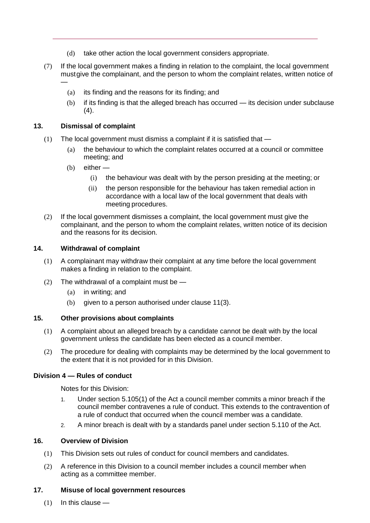- (d) take other action the local government considers appropriate.
- (7) If the local government makes a finding in relation to the complaint, the local government mustgive the complainant, and the person to whom the complaint relates, written notice of
	- (a) its finding and the reasons for its finding; and
	- (b) if its finding is that the alleged breach has occurred its decision under subclause  $(4).$

#### **13. Dismissal of complaint**

—

- (1) The local government must dismiss a complaint if it is satisfied that
	- (a) the behaviour to which the complaint relates occurred at a council or committee meeting; and
	- (b) either
		- (i) the behaviour was dealt with by the person presiding at the meeting; or
		- (ii) the person responsible for the behaviour has taken remedial action in accordance with a local law of the local government that deals with meeting procedures.
- (2) If the local government dismisses a complaint, the local government must give the complainant, and the person to whom the complaint relates, written notice of its decision and the reasons for its decision.

#### **14. Withdrawal of complaint**

- (1) A complainant may withdraw their complaint at any time before the local government makes a finding in relation to the complaint.
- (2) The withdrawal of a complaint must be  $-$ 
	- (a) in writing; and
	- (b) given to a person authorised under clause 11(3).

#### **15. Other provisions about complaints**

- (1) A complaint about an alleged breach by a candidate cannot be dealt with by the local government unless the candidate has been elected as a council member.
- (2) The procedure for dealing with complaints may be determined by the local government to the extent that it is not provided for in this Division.

#### **Division 4 — Rules of conduct**

Notes for this Division:

- 1. Under section 5.105(1) of the Act a council member commits a minor breach if the council member contravenes a rule of conduct. This extends to the contravention of a rule of conduct that occurred when the council member was a candidate.
- 2. A minor breach is dealt with by a standards panel under section 5.110 of the Act.

#### **16. Overview of Division**

- (1) This Division sets out rules of conduct for council members and candidates.
- (2) A reference in this Division to a council member includes a council member when acting as a committee member.

#### **17. Misuse of local government resources**

(1) In this clause —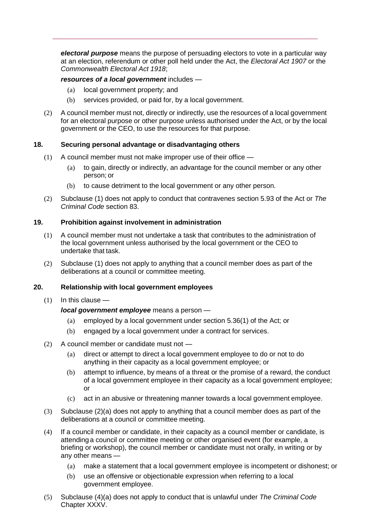*electoral purpose* means the purpose of persuading electors to vote in a particular way at an election, referendum or other poll held under the Act, the *Electoral Act 1907* or the *Commonwealth Electoral Act 1918*;

#### *resources of a local government* includes —

- (a) local government property; and
- (b) services provided, or paid for, by a local government.
- (2) A council member must not, directly or indirectly, use the resources of a local government for an electoral purpose or other purpose unless authorised under the Act, or by the local government or the CEO, to use the resources for that purpose.

#### **18. Securing personal advantage or disadvantaging others**

- (1) A council member must not make improper use of their office
	- (a) to gain, directly or indirectly, an advantage for the council member or any other person; or
	- (b) to cause detriment to the local government or any other person.
- (2) Subclause (1) does not apply to conduct that contravenes section 5.93 of the Act or *The Criminal Code* section 83.

#### **19. Prohibition against involvement in administration**

- (1) A council member must not undertake a task that contributes to the administration of the local government unless authorised by the local government or the CEO to undertake that task.
- (2) Subclause (1) does not apply to anything that a council member does as part of the deliberations at a council or committee meeting.

#### **20. Relationship with local government employees**

 $(1)$  In this clause —

#### *local government employee* means a person —

- (a) employed by a local government under section 5.36(1) of the Act; or
- (b) engaged by a local government under a contract for services.
- (2) A council member or candidate must not
	- (a) direct or attempt to direct a local government employee to do or not to do anything in their capacity as a local government employee; or
	- (b) attempt to influence, by means of a threat or the promise of a reward, the conduct of a local government employee in their capacity as a local government employee; or
	- (c) act in an abusive or threatening manner towards a local government employee.
- (3) Subclause (2)(a) does not apply to anything that a council member does as part of the deliberations at a council or committee meeting.
- (4) If a council member or candidate, in their capacity as a council member or candidate, is attending a council or committee meeting or other organised event (for example, a briefing or workshop), the council member or candidate must not orally, in writing or by any other means —
	- (a) make a statement that a local government employee is incompetent or dishonest; or
	- (b) use an offensive or objectionable expression when referring to a local government employee.
- (5) Subclause (4)(a) does not apply to conduct that is unlawful under *The Criminal Code*  Chapter XXXV.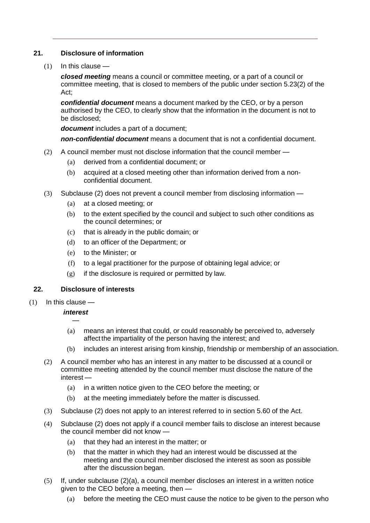## **21. Disclosure of information**

 $(1)$  In this clause —

*closed meeting* means a council or committee meeting, or a part of a council or committee meeting, that is closed to members of the public under section 5.23(2) of the Act;

*confidential document* means a document marked by the CEO, or by a person authorised by the CEO, to clearly show that the information in the document is not to be disclosed;

*document* includes a part of a document;

*non-confidential document* means a document that is not a confidential document.

- (2) A council member must not disclose information that the council member
	- (a) derived from a confidential document; or
	- (b) acquired at a closed meeting other than information derived from a nonconfidential document.
- (3) Subclause (2) does not prevent a council member from disclosing information
	- (a) at a closed meeting; or
	- (b) to the extent specified by the council and subject to such other conditions as the council determines; or
	- (c) that is already in the public domain; or
	- (d) to an officer of the Department; or
	- (e) to the Minister; or
	- (f) to a legal practitioner for the purpose of obtaining legal advice; or
	- $(g)$  if the disclosure is required or permitted by law.

# **22. Disclosure of interests**

 $(1)$  In this clause —

#### *interest*  —

- (a) means an interest that could, or could reasonably be perceived to, adversely affect the impartiality of the person having the interest; and
- (b) includes an interest arising from kinship, friendship or membership of an association.
- (2) A council member who has an interest in any matter to be discussed at a council or committee meeting attended by the council member must disclose the nature of the interest —
	- (a) in a written notice given to the CEO before the meeting; or
	- (b) at the meeting immediately before the matter is discussed.
- (3) Subclause (2) does not apply to an interest referred to in section 5.60 of the Act.
- (4) Subclause (2) does not apply if a council member fails to disclose an interest because the council member did not know —
	- (a) that they had an interest in the matter; or
	- (b) that the matter in which they had an interest would be discussed at the meeting and the council member disclosed the interest as soon as possible after the discussion began.
- $(5)$  If, under subclause  $(2)(a)$ , a council member discloses an interest in a written notice given to the CEO before a meeting, then —
	- (a) before the meeting the CEO must cause the notice to be given to the person who